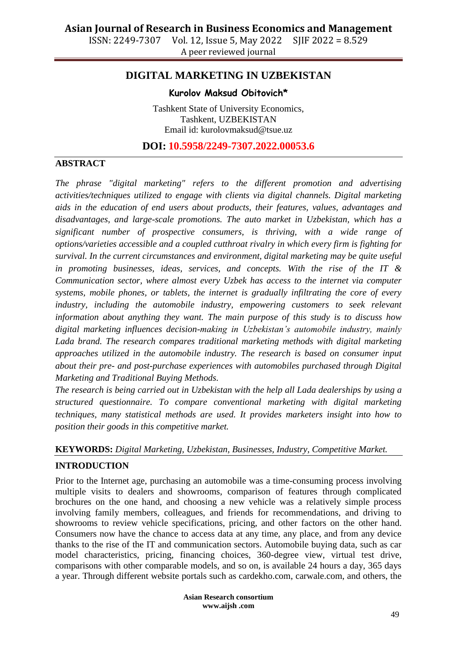ISSN: 2249-7307 Vol. 12, Issue 5, May 2022 SJIF 2022 = 8.529 A peer reviewed journal

## **DIGITAL MARKETING IN UZBEKISTAN**

#### **Kurolov Maksud Obitovich\***

Tashkent State of University Economics, Tashkent, UZBEKISTAN Email id: kurolovmaksud@tsue.uz

**DOI: 10.5958/2249-7307.2022.00053.6**

#### **ABSTRACT**

*The phrase "digital marketing" refers to the different promotion and advertising activities/techniques utilized to engage with clients via digital channels. Digital marketing aids in the education of end users about products, their features, values, advantages and disadvantages, and large-scale promotions. The auto market in Uzbekistan, which has a significant number of prospective consumers, is thriving, with a wide range of options/varieties accessible and a coupled cutthroat rivalry in which every firm is fighting for survival. In the current circumstances and environment, digital marketing may be quite useful in promoting businesses, ideas, services, and concepts. With the rise of the IT & Communication sector, where almost every Uzbek has access to the internet via computer systems, mobile phones, or tablets, the internet is gradually infiltrating the core of every industry, including the automobile industry, empowering customers to seek relevant information about anything they want. The main purpose of this study is to discuss how digital marketing influences decision-making in Uzbekistan's automobile industry, mainly Lada brand. The research compares traditional marketing methods with digital marketing approaches utilized in the automobile industry. The research is based on consumer input about their pre- and post-purchase experiences with automobiles purchased through Digital Marketing and Traditional Buying Methods.*

*The research is being carried out in Uzbekistan with the help all Lada dealerships by using a structured questionnaire. To compare conventional marketing with digital marketing techniques, many statistical methods are used. It provides marketers insight into how to position their goods in this competitive market.*

# **KEYWORDS:** *Digital Marketing, Uzbekistan, Businesses, Industry, Competitive Market.*

#### **INTRODUCTION**

Prior to the Internet age, purchasing an automobile was a time-consuming process involving multiple visits to dealers and showrooms, comparison of features through complicated brochures on the one hand, and choosing a new vehicle was a relatively simple process involving family members, colleagues, and friends for recommendations, and driving to showrooms to review vehicle specifications, pricing, and other factors on the other hand. Consumers now have the chance to access data at any time, any place, and from any device thanks to the rise of the IT and communication sectors. Automobile buying data, such as car model characteristics, pricing, financing choices, 360-degree view, virtual test drive, comparisons with other comparable models, and so on, is available 24 hours a day, 365 days a year. Through different website portals such as cardekho.com, carwale.com, and others, the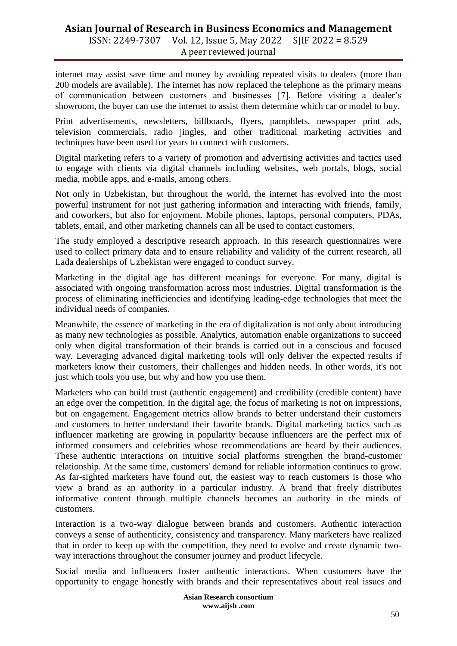### **Asian Journal of Research in Business Economics and Management** ISSN: 2249-7307 Vol. 12, Issue 5, May 2022 SJIF 2022 = 8.529

A peer reviewed journal

internet may assist save time and money by avoiding repeated visits to dealers (more than 200 models are available). The internet has now replaced the telephone as the primary means of communication between customers and businesses [7]. Before visiting a dealer's showroom, the buyer can use the internet to assist them determine which car or model to buy.

Print advertisements, newsletters, billboards, flyers, pamphlets, newspaper print ads, television commercials, radio jingles, and other traditional marketing activities and techniques have been used for years to connect with customers.

Digital marketing refers to a variety of promotion and advertising activities and tactics used to engage with clients via digital channels including websites, web portals, blogs, social media, mobile apps, and e-mails, among others.

Not only in Uzbekistan, but throughout the world, the internet has evolved into the most powerful instrument for not just gathering information and interacting with friends, family, and coworkers, but also for enjoyment. Mobile phones, laptops, personal computers, PDAs, tablets, email, and other marketing channels can all be used to contact customers.

The study employed a descriptive research approach. In this research questionnaires were used to collect primary data and to ensure reliability and validity of the current research, all Lada dealerships of Uzbekistan were engaged to conduct survey.

Marketing in the digital age has different meanings for everyone. For many, digital is associated with ongoing transformation across most industries. Digital transformation is the process of eliminating inefficiencies and identifying leading-edge technologies that meet the individual needs of companies.

Meanwhile, the essence of marketing in the era of digitalization is not only about introducing as many new technologies as possible. Analytics, automation enable organizations to succeed only when digital transformation of their brands is carried out in a conscious and focused way. Leveraging advanced digital marketing tools will only deliver the expected results if marketers know their customers, their challenges and hidden needs. In other words, it's not just which tools you use, but why and how you use them.

Marketers who can build trust (authentic engagement) and credibility (credible content) have an edge over the competition. In the digital age, the focus of marketing is not on impressions, but on engagement. Engagement metrics allow brands to better understand their customers and customers to better understand their favorite brands. Digital marketing tactics such as influencer marketing are growing in popularity because influencers are the perfect mix of informed consumers and celebrities whose recommendations are heard by their audiences. These authentic interactions on intuitive social platforms strengthen the brand-customer relationship. At the same time, customers' demand for reliable information continues to grow. As far-sighted marketers have found out, the easiest way to reach customers is those who view a brand as an authority in a particular industry. A brand that freely distributes informative content through multiple channels becomes an authority in the minds of customers.

Interaction is a two-way dialogue between brands and customers. Authentic interaction conveys a sense of authenticity, consistency and transparency. Many marketers have realized that in order to keep up with the competition, they need to evolve and create dynamic twoway interactions throughout the consumer journey and product lifecycle.

Social media and influencers foster authentic interactions. When customers have the opportunity to engage honestly with brands and their representatives about real issues and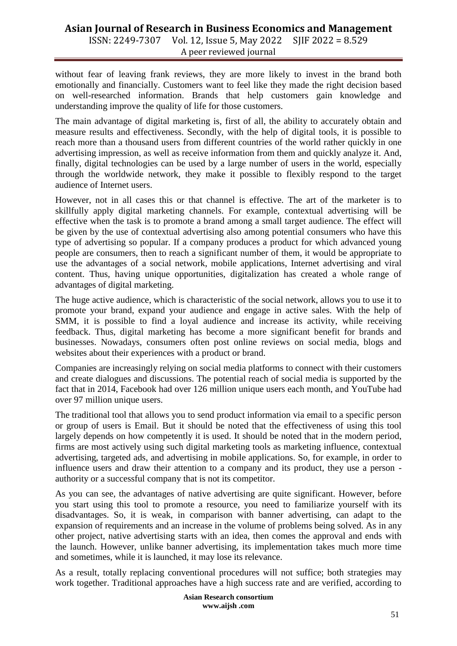### **Asian Journal of Research in Business Economics and Management** ISSN: 2249-7307 Vol. 12, Issue 5, May 2022 SJIF 2022 = 8.529 A peer reviewed journal

without fear of leaving frank reviews, they are more likely to invest in the brand both emotionally and financially. Customers want to feel like they made the right decision based

understanding improve the quality of life for those customers.

on well-researched information. Brands that help customers gain knowledge and

The main advantage of digital marketing is, first of all, the ability to accurately obtain and measure results and effectiveness. Secondly, with the help of digital tools, it is possible to reach more than a thousand users from different countries of the world rather quickly in one advertising impression, as well as receive information from them and quickly analyze it. And, finally, digital technologies can be used by a large number of users in the world, especially through the worldwide network, they make it possible to flexibly respond to the target audience of Internet users.

However, not in all cases this or that channel is effective. The art of the marketer is to skillfully apply digital marketing channels. For example, contextual advertising will be effective when the task is to promote a brand among a small target audience. The effect will be given by the use of contextual advertising also among potential consumers who have this type of advertising so popular. If a company produces a product for which advanced young people are consumers, then to reach a significant number of them, it would be appropriate to use the advantages of a social network, mobile applications, Internet advertising and viral content. Thus, having unique opportunities, digitalization has created a whole range of advantages of digital marketing.

The huge active audience, which is characteristic of the social network, allows you to use it to promote your brand, expand your audience and engage in active sales. With the help of SMM, it is possible to find a loyal audience and increase its activity, while receiving feedback. Thus, digital marketing has become a more significant benefit for brands and businesses. Nowadays, consumers often post online reviews on social media, blogs and websites about their experiences with a product or brand.

Companies are increasingly relying on social media platforms to connect with their customers and create dialogues and discussions. The potential reach of social media is supported by the fact that in 2014, Facebook had over 126 million unique users each month, and YouTube had over 97 million unique users.

The traditional tool that allows you to send product information via email to a specific person or group of users is Email. But it should be noted that the effectiveness of using this tool largely depends on how competently it is used. It should be noted that in the modern period, firms are most actively using such digital marketing tools as marketing influence, contextual advertising, targeted ads, and advertising in mobile applications. So, for example, in order to influence users and draw their attention to a company and its product, they use a person authority or a successful company that is not its competitor.

As you can see, the advantages of native advertising are quite significant. However, before you start using this tool to promote a resource, you need to familiarize yourself with its disadvantages. So, it is weak, in comparison with banner advertising, can adapt to the expansion of requirements and an increase in the volume of problems being solved. As in any other project, native advertising starts with an idea, then comes the approval and ends with the launch. However, unlike banner advertising, its implementation takes much more time and sometimes, while it is launched, it may lose its relevance.

As a result, totally replacing conventional procedures will not suffice; both strategies may work together. Traditional approaches have a high success rate and are verified, according to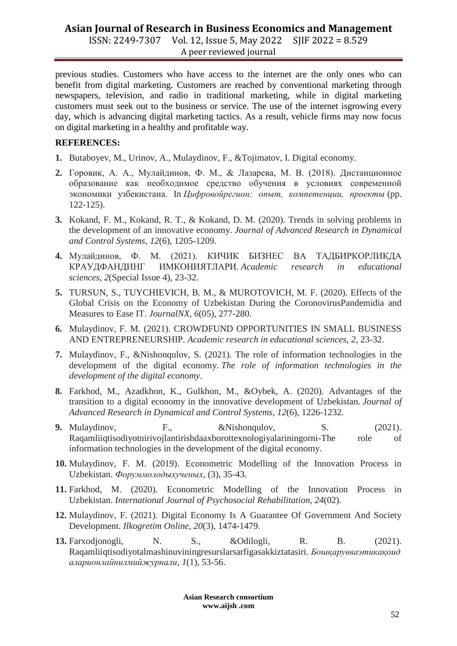# **Asian Journal of Research in Business Economics and Management**

ISSN: 2249-7307 Vol. 12, Issue 5, May 2022 SJIF 2022 = 8.529 A peer reviewed journal

previous studies. Customers who have access to the internet are the only ones who can benefit from digital marketing. Customers are reached by conventional marketing through newspapers, television, and radio in traditional marketing, while in digital marketing customers must seek out to the business or service. The use of the internet isgrowing every day, which is advancing digital marketing tactics. As a result, vehicle firms may now focus on digital marketing in a healthy and profitable way.

#### **REFERENCES:**

- **1.** Butaboyev, M., Urinov, A., Mulaydinov, F., &Tojimatov, I. Digital economy.
- **2.** Горовик, А. А., Мулайдинов, Ф. М., & Лазарева, М. В. (2018). Дистанционное образование как необходимое средство обучения в условиях современной экономики узбекистана. In *Цифровойрегион: опыт, компетенции, проекты* (pp. 122-125).
- **3.** Kokand, F. M., Kokand, R. T., & Kokand, D. M. (2020). Trends in solving problems in the development of an innovative economy. *Journal of Advanced Research in Dynamical and Control Systems*, *12*(6), 1205-1209.
- **4.** Мулайдинов, Ф. М. (2021). КИЧИК БИЗНЕС ВА ТАДБИРКОРЛИКДА КРАУДФАНДИНГ ИМКОНИЯТЛАРИ. *Academic research in educational sciences*, *2*(Special Issue 4), 23-32.
- **5.** TURSUN, S., TUYCHIEVICH, B. M., & MUROTOVICH, M. F. (2020). Effects of the Global Crisis on the Economy of Uzbekistan During the CoronovirusPandemidia and Measures to Ease IT. *JournalNX*, *6*(05), 277-280.
- **6.** Mulaydinov, F. M. (2021). CROWDFUND OPPORTUNITIES IN SMALL BUSINESS AND ENTREPRENEURSHIP. *Academic research in educational sciences*, *2*, 23-32.
- **7.** Mulaydinov, F., &Nishonqulov, S. (2021). The role of information technologies in the development of the digital economy. *The role of information technologies in the development of the digital economy*.
- **8.** Farkhod, M., Azadkhon, K., Gulkhon, M., &Oybek, A. (2020). Advantages of the transition to a digital economy in the innovative development of Uzbekistan. *Journal of Advanced Research in Dynamical and Control Systems*, *12*(6), 1226-1232.
- **9.** Mulaydinov, F., &Nishongulov, S. (2021). Raqamliiqtisodiyotnirivojlantirishdaaxborottexnologiyalariningorni-The role of information technologies in the development of the digital economy.
- **10.** Mulaydinov, F. M. (2019). Econometric Modelling of the Innovation Process in Uzbekistan. *Форуммолодыхученых*, (3), 35-43.
- **11.** Farkhod, M. (2020). Econometric Modelling of the Innovation Process in Uzbekistan. *International Journal of Psychosocial Rehabilitation*, *24*(02).
- **12.** Mulaydinov, F. (2021). Digital Economy Is A Guarantee Of Government And Society Development. *Ilkogretim Online*, *20*(3), 1474-1479.
- **13.** Farxodjonogli, N. S., &Odilogli, R. B. (2021). Raqamliiqtisodiyotalmashinuviningresurslarsarfigasakkiztatasiri. *Бошқарувваэтикақоид аларионлайнилмийжурнали*, *1*(1), 53-56.